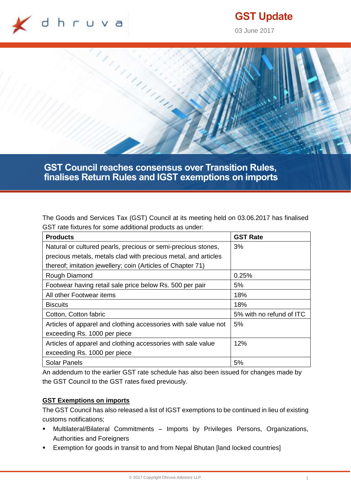

# **GST Update**

03 June 2017



**GST Council reaches consensus over Transition Rules, finalises Return Rules and IGST exemptions on imports**

The Goods and Services Tax (GST) Council at its meeting held on 03.06.2017 has finalised GST rate fixtures for some additional products as under:

| <b>Products</b>                                                  | <b>GST Rate</b>          |
|------------------------------------------------------------------|--------------------------|
| Natural or cultured pearls, precious or semi-precious stones,    | 3%                       |
| precious metals, metals clad with precious metal, and articles   |                          |
| thereof; imitation jewellery; coin (Articles of Chapter 71)      |                          |
| Rough Diamond                                                    | 0.25%                    |
| Footwear having retail sale price below Rs. 500 per pair         | 5%                       |
| All other Footwear items                                         | 18%                      |
| <b>Biscuits</b>                                                  | 18%                      |
| Cotton, Cotton fabric                                            | 5% with no refund of ITC |
| Articles of apparel and clothing accessories with sale value not | 5%                       |
| exceeding Rs. 1000 per piece                                     |                          |
| Articles of apparel and clothing accessories with sale value     | 12%                      |
| exceeding Rs. 1000 per piece                                     |                          |
| <b>Solar Panels</b>                                              | 5%                       |

An addendum to the earlier GST rate schedule has also been issued for changes made by the GST Council to the GST rates fixed previously.

# **GST Exemptions on imports**

The GST Council has also released a list of IGST exemptions to be continued in lieu of existing customs notifications;

- Multilateral/Bilateral Commitments Imports by Privileges Persons, Organizations, Authorities and Foreigners
- **Exemption for goods in transit to and from Nepal Bhutan [land locked countries]**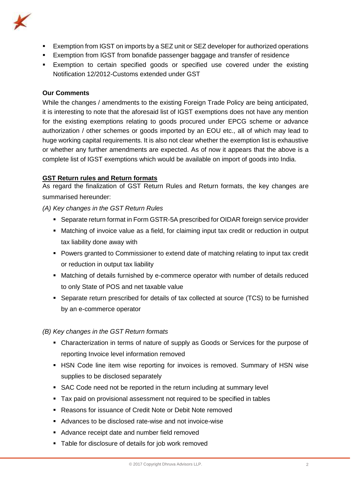

- Exemption from IGST on imports by a SEZ unit or SEZ developer for authorized operations
- **Exemption from IGST from bonafide passenger baggage and transfer of residence**
- Exemption to certain specified goods or specified use covered under the existing Notification 12/2012-Customs extended under GST

# **Our Comments**

While the changes / amendments to the existing Foreign Trade Policy are being anticipated, it is interesting to note that the aforesaid list of IGST exemptions does not have any mention for the existing exemptions relating to goods procured under EPCG scheme or advance authorization / other schemes or goods imported by an EOU etc., all of which may lead to huge working capital requirements. It is also not clear whether the exemption list is exhaustive or whether any further amendments are expected. As of now it appears that the above is a complete list of IGST exemptions which would be available on import of goods into India.

# **GST Return rules and Return formats**

As regard the finalization of GST Return Rules and Return formats, the key changes are summarised hereunder:

*(A) Key changes in the GST Return Rules*

- Separate return format in Form GSTR-5A prescribed for OIDAR foreign service provider
- Matching of invoice value as a field, for claiming input tax credit or reduction in output tax liability done away with
- **Powers granted to Commissioner to extend date of matching relating to input tax credit** or reduction in output tax liability
- Matching of details furnished by e-commerce operator with number of details reduced to only State of POS and net taxable value
- Separate return prescribed for details of tax collected at source (TCS) to be furnished by an e-commerce operator

# *(B) Key changes in the GST Return formats*

- Characterization in terms of nature of supply as Goods or Services for the purpose of reporting Invoice level information removed
- **HISN Code line item wise reporting for invoices is removed. Summary of HSN wise** supplies to be disclosed separately
- SAC Code need not be reported in the return including at summary level
- Tax paid on provisional assessment not required to be specified in tables
- Reasons for issuance of Credit Note or Debit Note removed
- Advances to be disclosed rate-wise and not invoice-wise
- Advance receipt date and number field removed
- Table for disclosure of details for job work removed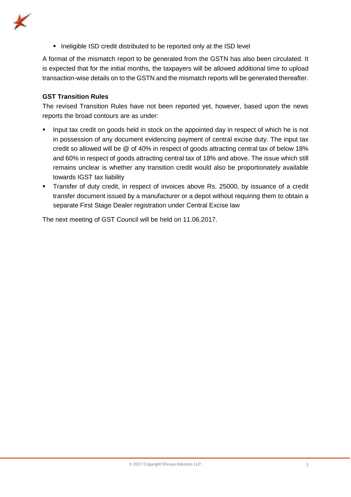

**If** Ineligible ISD credit distributed to be reported only at the ISD level

A format of the mismatch report to be generated from the GSTN has also been circulated. It is expected that for the initial months, the taxpayers will be allowed additional time to upload transaction-wise details on to the GSTN and the mismatch reports will be generated thereafter.

## **GST Transition Rules**

The revised Transition Rules have not been reported yet, however, based upon the news reports the broad contours are as under:

- **Input tax credit on goods held in stock on the appointed day in respect of which he is not** in possession of any document evidencing payment of central excise duty. The input tax credit so allowed will be @ of 40% in respect of goods attracting central tax of below 18% and 60% in respect of goods attracting central tax of 18% and above. The issue which still remains unclear is whether any transition credit would also be proportionately available towards IGST tax liability
- Transfer of duty credit, in respect of invoices above Rs. 25000, by issuance of a credit transfer document issued by a manufacturer or a depot without requiring them to obtain a separate First Stage Dealer registration under Central Excise law

The next meeting of GST Council will be held on 11.06.2017.